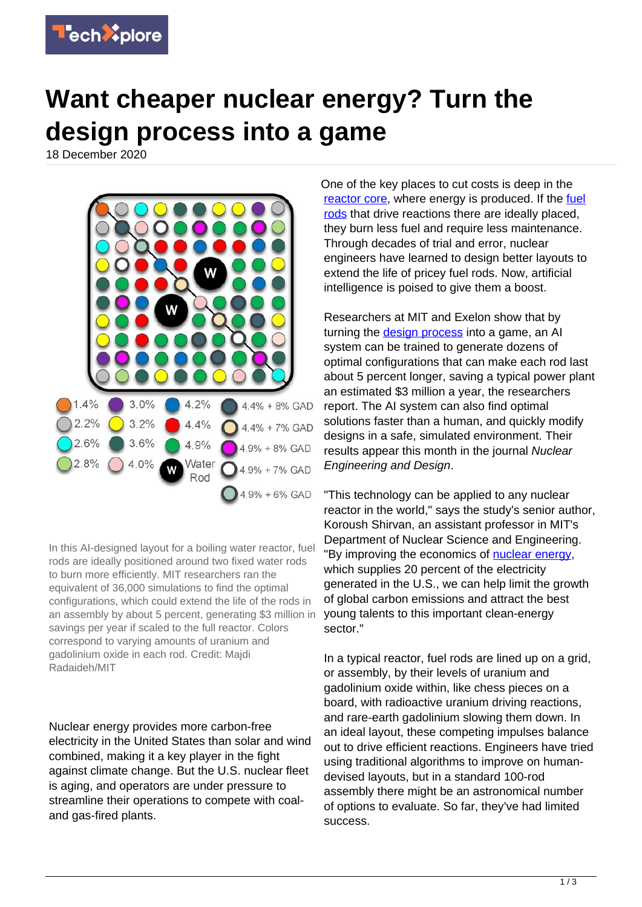

## **Want cheaper nuclear energy? Turn the design process into a game**

18 December 2020



In this AI-designed layout for a boiling water reactor, fuel rods are ideally positioned around two fixed water rods to burn more efficiently. MIT researchers ran the equivalent of 36,000 simulations to find the optimal configurations, which could extend the life of the rods in an assembly by about 5 percent, generating \$3 million in savings per year if scaled to the full reactor. Colors correspond to varying amounts of uranium and gadolinium oxide in each rod. Credit: Majdi Radaideh/MIT

Nuclear energy provides more carbon-free electricity in the United States than solar and wind combined, making it a key player in the fight against climate change. But the U.S. nuclear fleet is aging, and operators are under pressure to streamline their operations to compete with coaland gas-fired plants.

One of the key places to cut costs is deep in the [reactor core](https://techxplore.com/tags/reactor+core/), where energy is produced. If the [fuel](https://techxplore.com/tags/fuel+rods/) [rods](https://techxplore.com/tags/fuel+rods/) that drive reactions there are ideally placed, they burn less fuel and require less maintenance. Through decades of trial and error, nuclear engineers have learned to design better layouts to extend the life of pricey fuel rods. Now, artificial intelligence is poised to give them a boost.

Researchers at MIT and Exelon show that by turning the **[design process](https://techxplore.com/tags/design+process/)** into a game, an AI system can be trained to generate dozens of optimal configurations that can make each rod last about 5 percent longer, saving a typical power plant an estimated \$3 million a year, the researchers report. The AI system can also find optimal solutions faster than a human, and quickly modify designs in a safe, simulated environment. Their results appear this month in the journal Nuclear Engineering and Design.

"This technology can be applied to any nuclear reactor in the world," says the study's senior author, Koroush Shirvan, an assistant professor in MIT's Department of Nuclear Science and Engineering. "By improving the economics of [nuclear energy,](https://techxplore.com/tags/nuclear+energy/) which supplies 20 percent of the electricity generated in the U.S., we can help limit the growth of global carbon emissions and attract the best young talents to this important clean-energy sector."

In a typical reactor, fuel rods are lined up on a grid, or assembly, by their levels of uranium and gadolinium oxide within, like chess pieces on a board, with radioactive uranium driving reactions, and rare-earth gadolinium slowing them down. In an ideal layout, these competing impulses balance out to drive efficient reactions. Engineers have tried using traditional algorithms to improve on humandevised layouts, but in a standard 100-rod assembly there might be an astronomical number of options to evaluate. So far, they've had limited success.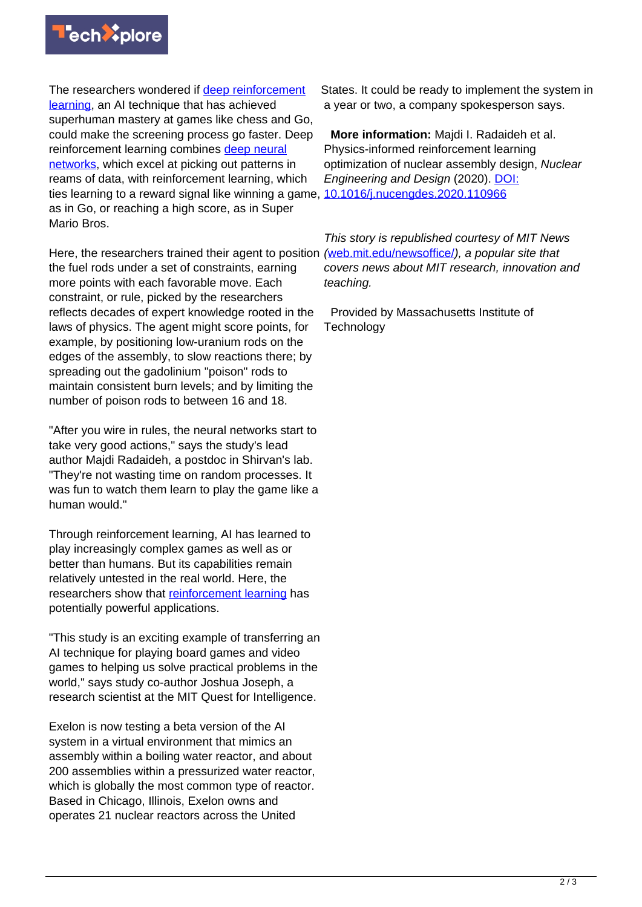

The researchers wondered if [deep reinforcement](https://techxplore.com/tags/deep+reinforcement+learning/) [learning](https://techxplore.com/tags/deep+reinforcement+learning/), an AI technique that has achieved superhuman mastery at games like chess and Go, could make the screening process go faster. Deep reinforcement learning combines [deep neural](https://techxplore.com/tags/deep+neural+networks/) [networks](https://techxplore.com/tags/deep+neural+networks/), which excel at picking out patterns in reams of data, with reinforcement learning, which ties learning to a reward signal like winning a game, as in Go, or reaching a high score, as in Super Mario Bros.

Here, the researchers trained their agent to position the fuel rods under a set of constraints, earning more points with each favorable move. Each constraint, or rule, picked by the researchers reflects decades of expert knowledge rooted in the laws of physics. The agent might score points, for example, by positioning low-uranium rods on the edges of the assembly, to slow reactions there; by spreading out the gadolinium "poison" rods to maintain consistent burn levels; and by limiting the number of poison rods to between 16 and 18.

"After you wire in rules, the neural networks start to take very good actions," says the study's lead author Majdi Radaideh, a postdoc in Shirvan's lab. "They're not wasting time on random processes. It was fun to watch them learn to play the game like a human would."

Through reinforcement learning, AI has learned to play increasingly complex games as well as or better than humans. But its capabilities remain relatively untested in the real world. Here, the researchers show that [reinforcement learning](https://techxplore.com/tags/reinforcement+learning/) has potentially powerful applications.

"This study is an exciting example of transferring an AI technique for playing board games and video games to helping us solve practical problems in the world," says study co-author Joshua Joseph, a research scientist at the MIT Quest for Intelligence.

Exelon is now testing a beta version of the AI system in a virtual environment that mimics an assembly within a boiling water reactor, and about 200 assemblies within a pressurized water reactor, which is globally the most common type of reactor. Based in Chicago, Illinois, Exelon owns and operates 21 nuclear reactors across the United

States. It could be ready to implement the system in a year or two, a company spokesperson says.

 **More information:** Majdi I. Radaideh et al. Physics-informed reinforcement learning optimization of nuclear assembly design, Nuclear Engineering and Design (2020). [DOI:](http://dx.doi.org/10.1016/j.nucengdes.2020.110966) [10.1016/j.nucengdes.2020.110966](http://dx.doi.org/10.1016/j.nucengdes.2020.110966)

This story is republished courtesy of MIT News ([web.mit.edu/newsoffice/](http://web.mit.edu/newsoffice/)), a popular site that covers news about MIT research, innovation and teaching.

 Provided by Massachusetts Institute of **Technology**